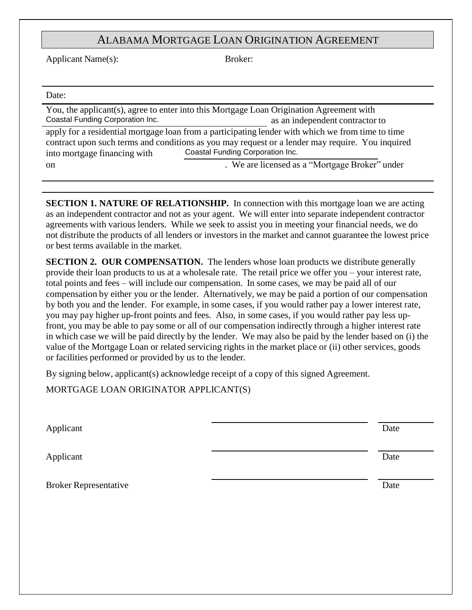## ALABAMA MORTGAGE LOAN ORIGINATION AGREEMENT

Applicant Name(s): Broker:

| Date:                                                                                                                                                                                                                                                                     |                                                                                                                              |  |  |
|---------------------------------------------------------------------------------------------------------------------------------------------------------------------------------------------------------------------------------------------------------------------------|------------------------------------------------------------------------------------------------------------------------------|--|--|
| Coastal Funding Corporation Inc.                                                                                                                                                                                                                                          | You, the applicant (s), agree to enter into this Mortgage Loan Origination Agreement with<br>as an independent contractor to |  |  |
| apply for a residential mortgage loan from a participating lender with which we from time to time<br>contract upon such terms and conditions as you may request or a lender may require. You inquired<br>Coastal Funding Corporation Inc.<br>into mortgage financing with |                                                                                                                              |  |  |
| <sub>on</sub>                                                                                                                                                                                                                                                             | . We are licensed as a "Mortgage Broker" under                                                                               |  |  |

**SECTION 1. NATURE OF RELATIONSHIP.** In connection with this mortgage loan we are acting as an independent contractor and not as your agent. We will enter into separate independent contractor agreements with various lenders. While we seek to assist you in meeting your financial needs, we do not distribute the products of all lenders or investors in the market and cannot guarantee the lowest price or best terms available in the market.

**SECTION 2. OUR COMPENSATION.** The lenders whose loan products we distribute generally provide their loan products to us at a wholesale rate. The retail price we offer you – your interest rate, total points and fees – will include our compensation. In some cases, we may be paid all of our compensation by either you or the lender. Alternatively, we may be paid a portion of our compensation by both you and the lender. For example, in some cases, if you would rather pay a lower interest rate, you may pay higher up-front points and fees. Also, in some cases, if you would rather pay less upfront, you may be able to pay some or all of our compensation indirectly through a higher interest rate in which case we will be paid directly by the lender. We may also be paid by the lender based on (i) the value of the Mortgage Loan or related servicing rights in the market place or (ii) other services, goods or facilities performed or provided by us to the lender.

By signing below, applicant(s) acknowledge receipt of a copy of this signed Agreement.

MORTGAGE LOAN ORIGINATOR APPLICANT(S)

| Applicant                    | Date |
|------------------------------|------|
| Applicant                    | Date |
| <b>Broker Representative</b> | Date |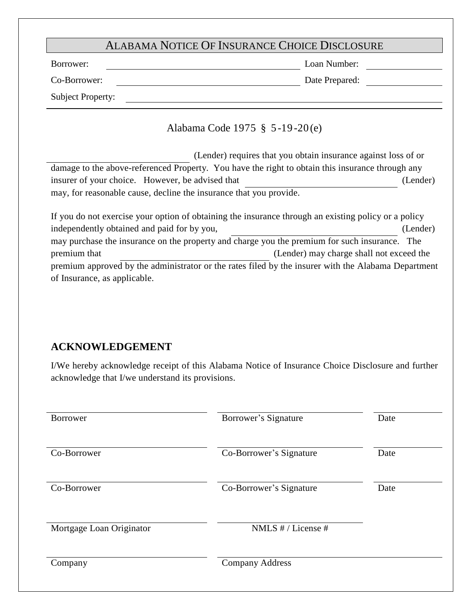## ALABAMA NOTICE OF INSURANCE CHOICE DISCLOSURE

Borrower: Loan Number:

Co-Borrower: Date Prepared:

Subject Property:

Alabama Code 1975 § 5 -19 -20 (e)

(Lender) requires that you obtain insurance against loss of or damage to the above-referenced Property. You have the right to obtain this insurance through any insurer of your choice. However, be advised that (Lender) (Lender) may, for reasonable cause, decline the insurance that you provide.

If you do not exercise your option of obtaining the insurance through an existing policy or a policy independently obtained and paid for by you, (Lender) may purchase the insurance on the property and charge you the premium for such insurance. The premium that (Lender) may charge shall not exceed the premium approved by the administrator or the rates filed by the insurer with the Alabama Department of Insurance, as applicable.

## **ACKNOWLEDGEMENT**

I/We hereby acknowledge receipt of this Alabama Notice of Insurance Choice Disclosure and further acknowledge that I/we understand its provisions.

| Borrower                 | Borrower's Signature    | Date |
|--------------------------|-------------------------|------|
| Co-Borrower              | Co-Borrower's Signature | Date |
| Co-Borrower              | Co-Borrower's Signature | Date |
| Mortgage Loan Originator | NMLS # / License #      |      |
| Company                  | <b>Company Address</b>  |      |